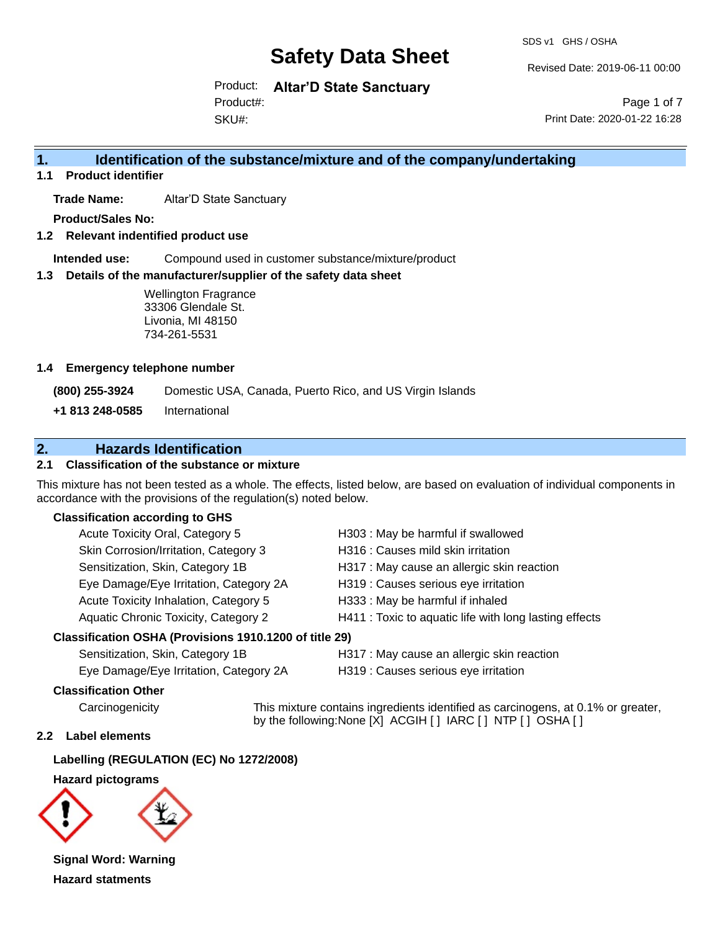SDS v1 GHS / OSHA

Revised Date: 2019-06-11 00:00

Product: **Altar'D State Sanctuary** Product#:

SKU#:

Page 1 of 7 Print Date: 2020-01-22 16:28

## **1. Identification of the substance/mixture and of the company/undertaking**

**1.1 Product identifier**

**Trade Name:** Altar'D State Sanctuary

**Product/Sales No:**

**1.2 Relevant indentified product use**

**Intended use:** Compound used in customer substance/mixture/product

#### **1.3 Details of the manufacturer/supplier of the safety data sheet**

#### **1.4 Emergency telephone number**

## **2. Hazards Identification**

### **2.1 Classification of the substance or mixture**

This mixture has not been tested as a whole. The effects, listed below, are based on evaluation of individual components in accordance with the provisions of the regulation(s) noted below.

#### **Classification according to GHS**

|                                                                | <b>Wellington Fragrance</b><br>33306 Glendale St.<br>Livonia, MI 48150<br>734-261-5531 |                                                                                                                                        |  |  |
|----------------------------------------------------------------|----------------------------------------------------------------------------------------|----------------------------------------------------------------------------------------------------------------------------------------|--|--|
| <b>Emergency telephone number</b>                              |                                                                                        |                                                                                                                                        |  |  |
| (800) 255-3924                                                 |                                                                                        | Domestic USA, Canada, Puerto Rico, and US Virgin Islands                                                                               |  |  |
| +1 813 248-0585                                                | International                                                                          |                                                                                                                                        |  |  |
|                                                                | <b>Hazards Identification</b>                                                          |                                                                                                                                        |  |  |
|                                                                | <b>Classification of the substance or mixture</b>                                      |                                                                                                                                        |  |  |
| cordance with the provisions of the regulation(s) noted below. |                                                                                        | s mixture has not been tested as a whole. The effects, listed below, are based on evaluation of individual (                           |  |  |
| <b>Classification according to GHS</b>                         |                                                                                        |                                                                                                                                        |  |  |
|                                                                | Acute Toxicity Oral, Category 5                                                        | H303 : May be harmful if swallowed                                                                                                     |  |  |
|                                                                | Skin Corrosion/Irritation, Category 3                                                  | H316 : Causes mild skin irritation                                                                                                     |  |  |
|                                                                | Sensitization, Skin, Category 1B                                                       | H317 : May cause an allergic skin reaction                                                                                             |  |  |
|                                                                | Eye Damage/Eye Irritation, Category 2A                                                 | H319 : Causes serious eye irritation                                                                                                   |  |  |
|                                                                | Acute Toxicity Inhalation, Category 5                                                  | H333: May be harmful if inhaled                                                                                                        |  |  |
|                                                                | Aquatic Chronic Toxicity, Category 2                                                   | H411 : Toxic to aquatic life with long lasting effects                                                                                 |  |  |
| Classification OSHA (Provisions 1910.1200 of title 29)         |                                                                                        |                                                                                                                                        |  |  |
|                                                                | Sensitization, Skin, Category 1B                                                       | H317 : May cause an allergic skin reaction                                                                                             |  |  |
|                                                                | Eye Damage/Eye Irritation, Category 2A                                                 | H319 : Causes serious eye irritation                                                                                                   |  |  |
| <b>Classification Other</b>                                    |                                                                                        |                                                                                                                                        |  |  |
| Carcinogenicity                                                |                                                                                        | This mixture contains ingredients identified as carcinogens, at 0.1%<br>by the following: None [X] ACGIH [ ] IARC [ ] NTP [ ] OSHA [ ] |  |  |
| Label elements                                                 |                                                                                        |                                                                                                                                        |  |  |
| Labelling (REGULATION (EC) No 1272/2008)                       |                                                                                        |                                                                                                                                        |  |  |
| <b>Hazard pictograms</b>                                       |                                                                                        |                                                                                                                                        |  |  |
|                                                                |                                                                                        |                                                                                                                                        |  |  |
| <b>Signal Word: Warning</b>                                    |                                                                                        |                                                                                                                                        |  |  |
| <b>Hazard statments</b>                                        |                                                                                        |                                                                                                                                        |  |  |

#### **Classification OSHA (Provisions 1910.1200 of title 29)**

#### **Classification Other**

Carcinogenicity This mixture contains ingredients identified as carcinogens, at 0.1% or greater, by the following:None [X] ACGIH [ ] IARC [ ] NTP [ ] OSHA [ ]

#### **2.2 Label elements**

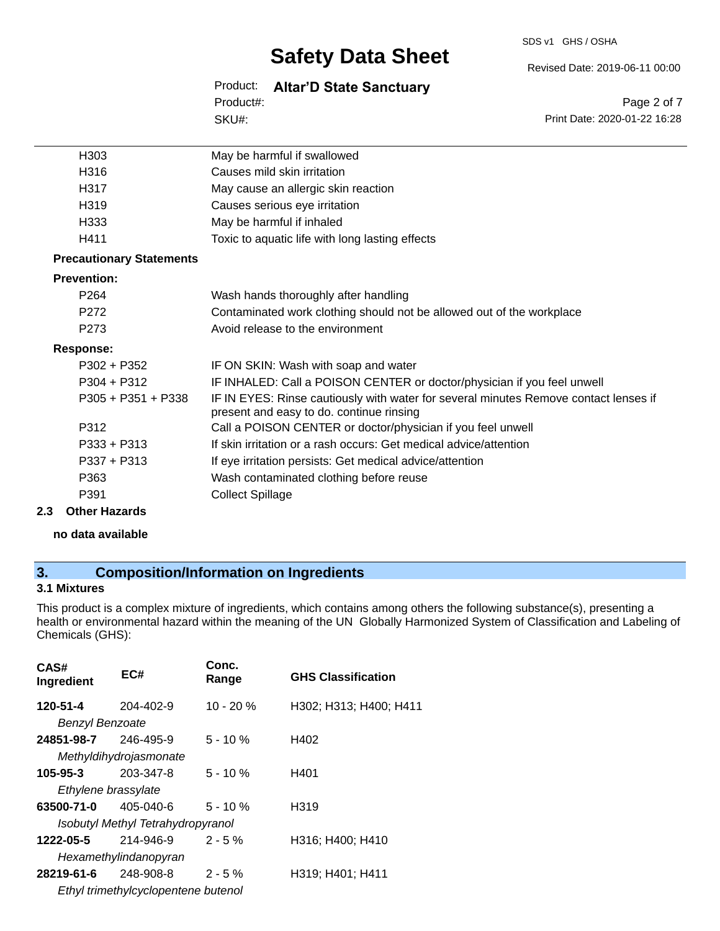SDS v1 GHS / OSHA

Revised Date: 2019-06-11 00:00

Product: **Altar'D State Sanctuary**

SKU#: Product#:

Page 2 of 7 Print Date: 2020-01-22 16:28

| H303                            | May be harmful if swallowed                                                                                                      |
|---------------------------------|----------------------------------------------------------------------------------------------------------------------------------|
| H316                            | Causes mild skin irritation                                                                                                      |
| H317                            | May cause an allergic skin reaction                                                                                              |
| H319                            | Causes serious eye irritation                                                                                                    |
| H333                            | May be harmful if inhaled                                                                                                        |
| H411                            | Toxic to aquatic life with long lasting effects                                                                                  |
| <b>Precautionary Statements</b> |                                                                                                                                  |
| <b>Prevention:</b>              |                                                                                                                                  |
| P <sub>264</sub>                | Wash hands thoroughly after handling                                                                                             |
| P <sub>272</sub>                | Contaminated work clothing should not be allowed out of the workplace                                                            |
| P <sub>273</sub>                | Avoid release to the environment                                                                                                 |
| <b>Response:</b>                |                                                                                                                                  |
| P302 + P352                     | IF ON SKIN: Wash with soap and water                                                                                             |
| $P304 + P312$                   | IF INHALED: Call a POISON CENTER or doctor/physician if you feel unwell                                                          |
| $P305 + P351 + P338$            | IF IN EYES: Rinse cautiously with water for several minutes Remove contact lenses if<br>present and easy to do. continue rinsing |
| P312                            | Call a POISON CENTER or doctor/physician if you feel unwell                                                                      |
| $P333 + P313$                   | If skin irritation or a rash occurs: Get medical advice/attention                                                                |
| $P337 + P313$                   | If eye irritation persists: Get medical advice/attention                                                                         |
| P363                            | Wash contaminated clothing before reuse                                                                                          |
| P391                            | <b>Collect Spillage</b>                                                                                                          |
|                                 |                                                                                                                                  |

**2.3 Other Hazards**

**no data available**

## **3. Composition/Information on Ingredients**

### **3.1 Mixtures**

This product is a complex mixture of ingredients, which contains among others the following substance(s), presenting a health or environmental hazard within the meaning of the UN Globally Harmonized System of Classification and Labeling of Chemicals (GHS):

| CAS#<br>Ingredient                  | EC#                               | Conc.<br>Range | <b>GHS Classification</b> |  |  |
|-------------------------------------|-----------------------------------|----------------|---------------------------|--|--|
| 120-51-4                            | 204-402-9                         | $10 - 20%$     | H302; H313; H400; H411    |  |  |
| <b>Benzyl Benzoate</b>              |                                   |                |                           |  |  |
| 24851-98-7                          | 246-495-9                         | $5 - 10 \%$    | H402                      |  |  |
|                                     | Methyldihydrojasmonate            |                |                           |  |  |
| 105-95-3                            | 203-347-8                         | $5 - 10 \%$    | H401                      |  |  |
| Ethylene brassylate                 |                                   |                |                           |  |  |
| 63500-71-0                          | $405 - 040 - 6$                   | $5 - 10 \%$    | H <sub>319</sub>          |  |  |
|                                     | Isobutyl Methyl Tetrahydropyranol |                |                           |  |  |
| 1222-05-5                           | 214-946-9                         | $2 - 5%$       | H316: H400: H410          |  |  |
| Hexamethylindanopyran               |                                   |                |                           |  |  |
| 28219-61-6                          | 248-908-8                         | $2 - 5\%$      | H319; H401; H411          |  |  |
| Ethyl trimethylcyclopentene butenol |                                   |                |                           |  |  |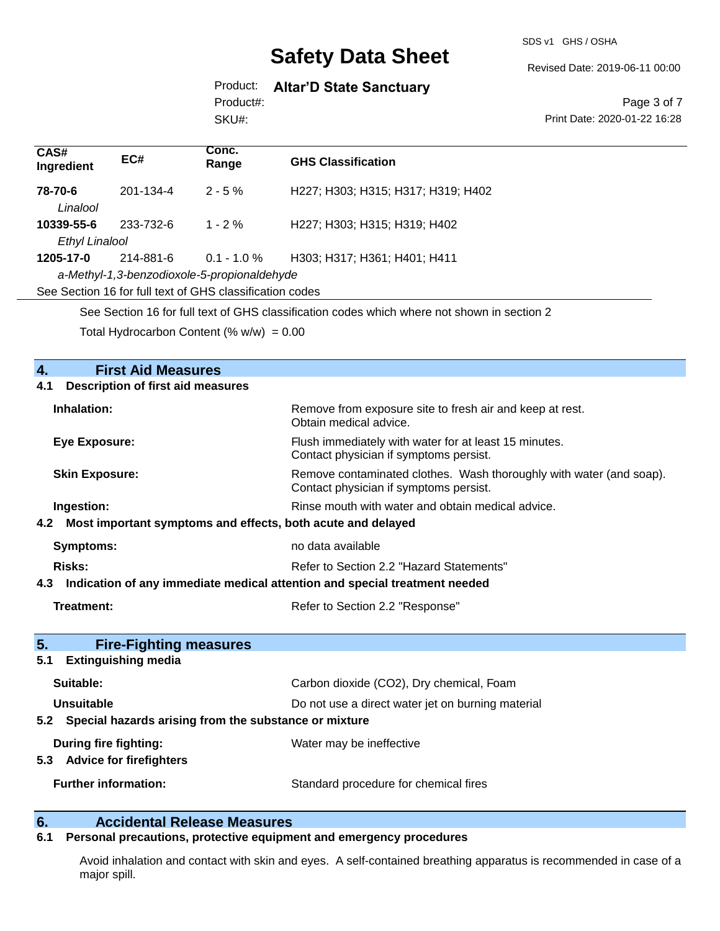SDS v1 GHS / OSHA

Revised Date: 2019-06-11 00:00

Product: **Altar'D State Sanctuary**

SKU#: Product#:

Page 3 of 7 Print Date: 2020-01-22 16:28

| CAS#<br>Ingredient                                                                                | EC#                                             | Conc.<br>Range                                           | <b>GHS Classification</b>                                                                                     |  |  |
|---------------------------------------------------------------------------------------------------|-------------------------------------------------|----------------------------------------------------------|---------------------------------------------------------------------------------------------------------------|--|--|
| 78-70-6<br>Linalool                                                                               | 201-134-4                                       | $2 - 5%$                                                 | H227; H303; H315; H317; H319; H402                                                                            |  |  |
| 10339-55-6                                                                                        | 233-732-6                                       | $1 - 2%$                                                 | H227; H303; H315; H319; H402                                                                                  |  |  |
| <b>Ethyl Linalool</b>                                                                             |                                                 |                                                          |                                                                                                               |  |  |
| 1205-17-0                                                                                         | 214-881-6                                       | $0.1 - 1.0 \%$                                           | H303; H317; H361; H401; H411                                                                                  |  |  |
|                                                                                                   |                                                 | a-Methyl-1,3-benzodioxole-5-propionaldehyde              |                                                                                                               |  |  |
|                                                                                                   |                                                 | See Section 16 for full text of GHS classification codes |                                                                                                               |  |  |
|                                                                                                   |                                                 |                                                          | See Section 16 for full text of GHS classification codes which where not shown in section 2                   |  |  |
|                                                                                                   |                                                 |                                                          |                                                                                                               |  |  |
|                                                                                                   |                                                 | Total Hydrocarbon Content (% $w/w$ ) = 0.00              |                                                                                                               |  |  |
|                                                                                                   |                                                 |                                                          |                                                                                                               |  |  |
| 4.                                                                                                | <b>First Aid Measures</b>                       |                                                          |                                                                                                               |  |  |
|                                                                                                   |                                                 |                                                          |                                                                                                               |  |  |
|                                                                                                   | 4.1<br><b>Description of first aid measures</b> |                                                          |                                                                                                               |  |  |
| Inhalation:<br>Remove from exposure site to fresh air and keep at rest.<br>Obtain medical advice. |                                                 |                                                          |                                                                                                               |  |  |
| <b>Eye Exposure:</b>                                                                              |                                                 |                                                          | Flush immediately with water for at least 15 minutes.<br>Contact physician if symptoms persist.               |  |  |
| <b>Skin Exposure:</b>                                                                             |                                                 |                                                          | Remove contaminated clothes. Wash thoroughly with water (and soap).<br>Contact physician if symptoms persist. |  |  |
| Ingestion:                                                                                        |                                                 |                                                          | Rinse mouth with water and obtain medical advice.                                                             |  |  |

### **4.2 Most important symptoms and effects, both acute and delayed**

| Symptoms: | no data available                        |
|-----------|------------------------------------------|
| Risks:    | Refer to Section 2.2 "Hazard Statements" |

#### **4.3 Indication of any immediate medical attention and special treatment needed**

**Treatment:** Refer to Section 2.2 "Response"

| 5 <sub>1</sub><br><b>Fire-Fighting measures</b><br><b>Extinguishing media</b><br>5.1 |                                          |  |  |
|--------------------------------------------------------------------------------------|------------------------------------------|--|--|
| Suitable:                                                                            | Carbon dioxide (CO2), Dry chemical, Foam |  |  |
| Unsuitable<br>Do not use a direct water jet on burning material                      |                                          |  |  |
| 5.2 Special hazards arising from the substance or mixture                            |                                          |  |  |
| During fire fighting:<br><b>Advice for firefighters</b><br>5.3                       | Water may be ineffective                 |  |  |
| <b>Further information:</b>                                                          | Standard procedure for chemical fires    |  |  |

# **6. Calcidental Release Measures**<br>**6.1** Personal precautions, protective equipm

### **6.1 Personal precautions, protective equipment and emergency procedures**

Avoid inhalation and contact with skin and eyes. A self-contained breathing apparatus is recommended in case of a major spill.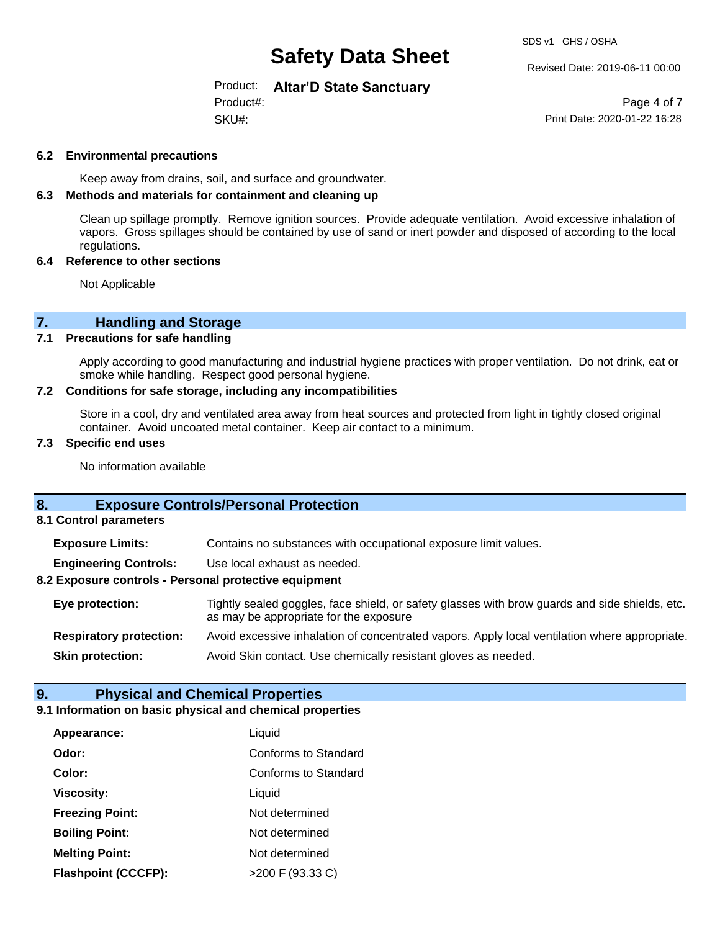Revised Date: 2019-06-11 00:00

Product: **Altar'D State Sanctuary** Product#:

SKU#:

Page 4 of 7 Print Date: 2020-01-22 16:28

#### **6.2 Environmental precautions**

Keep away from drains, soil, and surface and groundwater.

#### **6.3 Methods and materials for containment and cleaning up**

Clean up spillage promptly. Remove ignition sources. Provide adequate ventilation. Avoid excessive inhalation of vapors. Gross spillages should be contained by use of sand or inert powder and disposed of according to the local regulations.

#### **6.4 Reference to other sections**

Not Applicable

# **7. Handling and Storage**<br>**7.1** Precautions for safe handling

#### **Precautions for safe handling**

Apply according to good manufacturing and industrial hygiene practices with proper ventilation. Do not drink, eat or smoke while handling. Respect good personal hygiene.

#### **7.2 Conditions for safe storage, including any incompatibilities**

Store in a cool, dry and ventilated area away from heat sources and protected from light in tightly closed original container. Avoid uncoated metal container. Keep air contact to a minimum.

#### **7.3 Specific end uses**

No information available

### **8. Exposure Controls/Personal Protection**

**8.1 Control parameters**

**Exposure Limits:** Contains no substances with occupational exposure limit values.

**Engineering Controls:** Use local exhaust as needed.

#### **8.2 Exposure controls - Personal protective equipment**

**Eye protection:** Tightly sealed goggles, face shield, or safety glasses with brow guards and side shields, etc. as may be appropriate for the exposure **Respiratory protection:** Avoid excessive inhalation of concentrated vapors. Apply local ventilation where appropriate.

**Skin protection:** Avoid Skin contact. Use chemically resistant gloves as needed.

#### **9. Physical and Chemical Properties**

#### **9.1 Information on basic physical and chemical properties**

| Appearance:                | Liquid               |
|----------------------------|----------------------|
| Odor:                      | Conforms to Standard |
| Color:                     | Conforms to Standard |
| <b>Viscosity:</b>          | Liquid               |
| <b>Freezing Point:</b>     | Not determined       |
| <b>Boiling Point:</b>      | Not determined       |
| <b>Melting Point:</b>      | Not determined       |
| <b>Flashpoint (CCCFP):</b> | $>200$ F (93.33 C)   |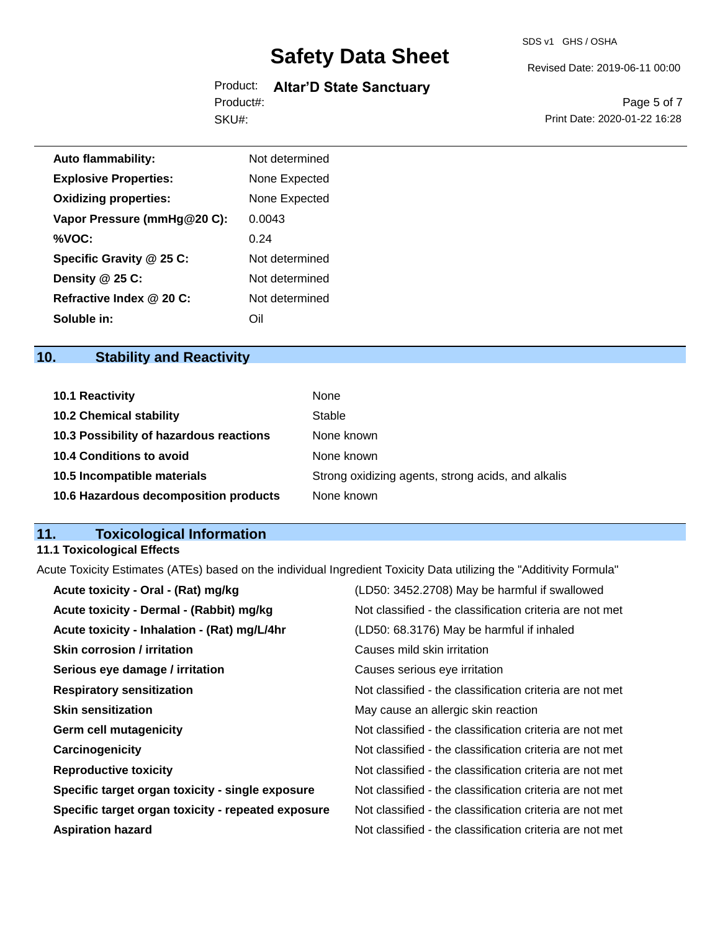SDS v1 GHS / OSHA

Revised Date: 2019-06-11 00:00

### Product: **Altar'D State Sanctuary** SKU#: Product#:

Page 5 of 7 Print Date: 2020-01-22 16:28

| <b>Auto flammability:</b>    | Not determined |
|------------------------------|----------------|
| <b>Explosive Properties:</b> | None Expected  |
| <b>Oxidizing properties:</b> | None Expected  |
| Vapor Pressure (mmHg@20 C):  | 0.0043         |
| %VOC:                        | 0.24           |
| Specific Gravity @ 25 C:     | Not determined |
| Density @ 25 C:              | Not determined |
| Refractive Index @ 20 C:     | Not determined |
| Soluble in:                  | Dil            |

# **10. Stability and Reactivity**

| <b>10.1 Reactivity</b>                  | None                                               |
|-----------------------------------------|----------------------------------------------------|
| <b>10.2 Chemical stability</b>          | Stable                                             |
| 10.3 Possibility of hazardous reactions | None known                                         |
| 10.4 Conditions to avoid                | None known                                         |
| 10.5 Incompatible materials             | Strong oxidizing agents, strong acids, and alkalis |
| 10.6 Hazardous decomposition products   | None known                                         |

# **11. Toxicological Information**

## **11.1 Toxicological Effects**

Acute Toxicity Estimates (ATEs) based on the individual Ingredient Toxicity Data utilizing the "Additivity Formula"

| (LD50: 3452.2708) May be harmful if swallowed            |
|----------------------------------------------------------|
| Not classified - the classification criteria are not met |
| (LD50: 68.3176) May be harmful if inhaled                |
| Causes mild skin irritation                              |
| Causes serious eye irritation                            |
| Not classified - the classification criteria are not met |
| May cause an allergic skin reaction                      |
| Not classified - the classification criteria are not met |
| Not classified - the classification criteria are not met |
| Not classified - the classification criteria are not met |
| Not classified - the classification criteria are not met |
| Not classified - the classification criteria are not met |
| Not classified - the classification criteria are not met |
|                                                          |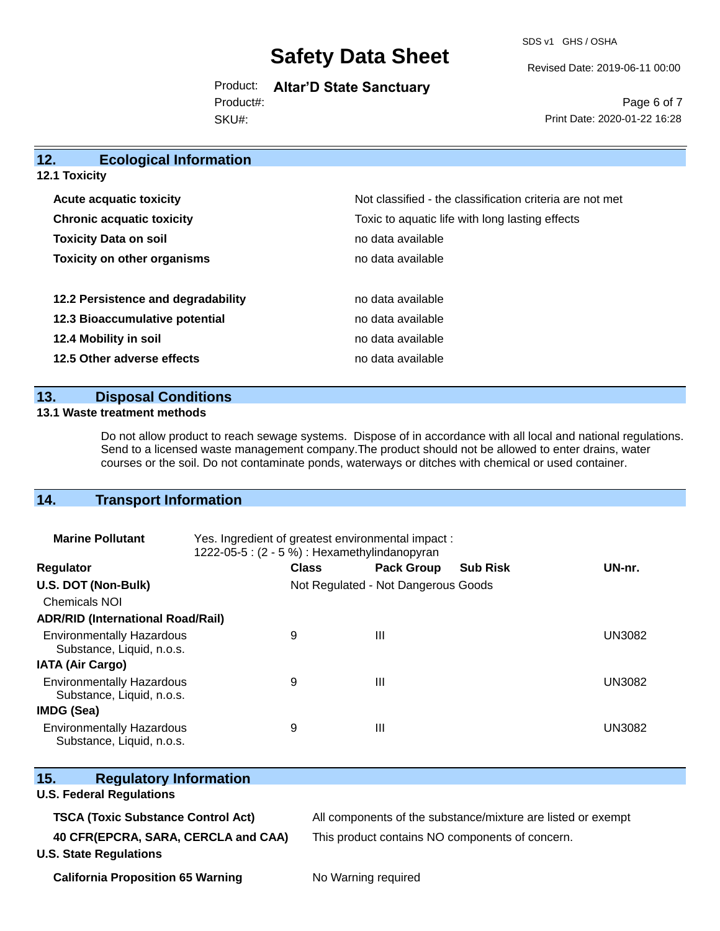SDS v1 GHS / OSHA

Revised Date: 2019-06-11 00:00

Product: **Altar'D State Sanctuary** SKU#: Product#:

Page 6 of 7 Print Date: 2020-01-22 16:28

| 12.<br><b>Ecological Information</b> |                                                          |
|--------------------------------------|----------------------------------------------------------|
| <b>12.1 Toxicity</b>                 |                                                          |
| <b>Acute acquatic toxicity</b>       | Not classified - the classification criteria are not met |
| <b>Chronic acquatic toxicity</b>     | Toxic to aquatic life with long lasting effects          |
| <b>Toxicity Data on soil</b>         | no data available                                        |
| <b>Toxicity on other organisms</b>   | no data available                                        |
| 12.2 Persistence and degradability   | no data available                                        |
| 12.3 Bioaccumulative potential       | no data available                                        |
| 12.4 Mobility in soil                | no data available                                        |
| 12.5 Other adverse effects           | no data available                                        |

### **13. Disposal Conditions**

#### **13.1 Waste treatment methods**

Do not allow product to reach sewage systems. Dispose of in accordance with all local and national regulations. Send to a licensed waste management company.The product should not be allowed to enter drains, water courses or the soil. Do not contaminate ponds, waterways or ditches with chemical or used container.

### **14. Transport Information**

| <b>Marine Pollutant</b>                                       | Yes. Ingredient of greatest environmental impact:<br>1222-05-5 : (2 - 5 %) : Hexamethylindanopyran |                                     |                 |               |
|---------------------------------------------------------------|----------------------------------------------------------------------------------------------------|-------------------------------------|-----------------|---------------|
| <b>Regulator</b>                                              | <b>Class</b>                                                                                       | <b>Pack Group</b>                   | <b>Sub Risk</b> | UN-nr.        |
| U.S. DOT (Non-Bulk)                                           |                                                                                                    | Not Regulated - Not Dangerous Goods |                 |               |
| <b>Chemicals NOI</b>                                          |                                                                                                    |                                     |                 |               |
| <b>ADR/RID (International Road/Rail)</b>                      |                                                                                                    |                                     |                 |               |
| <b>Environmentally Hazardous</b><br>Substance, Liquid, n.o.s. | 9                                                                                                  | Ш                                   |                 | <b>UN3082</b> |
| <b>IATA (Air Cargo)</b>                                       |                                                                                                    |                                     |                 |               |
| <b>Environmentally Hazardous</b><br>Substance, Liquid, n.o.s. | 9                                                                                                  | $\mathbf{III}$                      |                 | <b>UN3082</b> |
| <b>IMDG (Sea)</b>                                             |                                                                                                    |                                     |                 |               |
| <b>Environmentally Hazardous</b><br>Substance, Liquid, n.o.s. | 9                                                                                                  | $\mathbf{III}$                      |                 | <b>UN3082</b> |

| 15.<br><b>Regulatory Information</b>      |                                                              |
|-------------------------------------------|--------------------------------------------------------------|
| <b>U.S. Federal Regulations</b>           |                                                              |
| <b>TSCA (Toxic Substance Control Act)</b> | All components of the substance/mixture are listed or exempt |
| 40 CFR(EPCRA, SARA, CERCLA and CAA)       | This product contains NO components of concern.              |
| <b>U.S. State Regulations</b>             |                                                              |
| <b>California Proposition 65 Warning</b>  | No Warning required                                          |